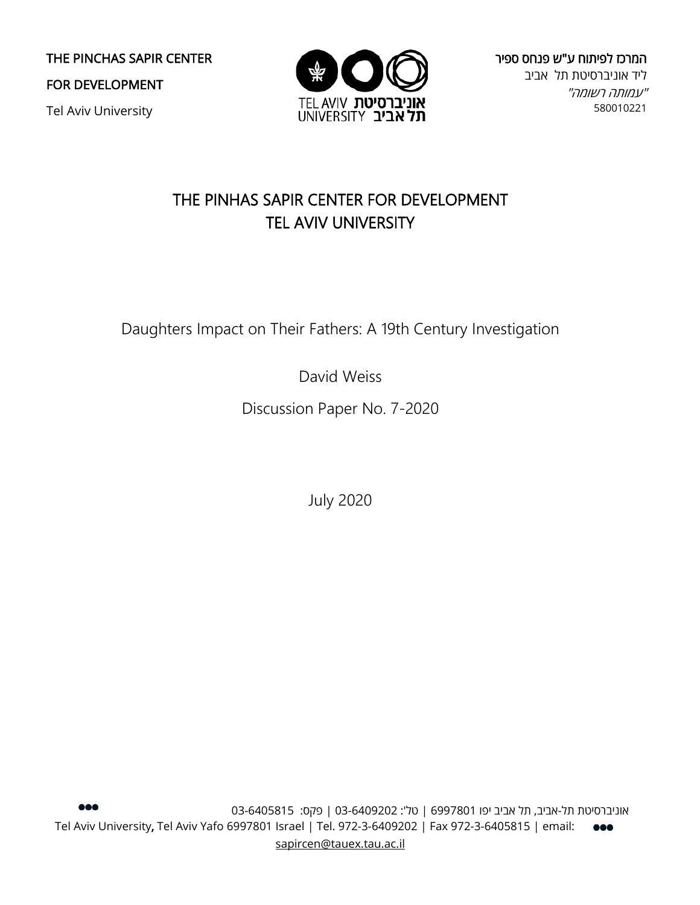THE PINCHAS SAPIR CENTER

FOR DEVELOPMENT

Tel Aviv University



המרכז לפיתוח ע"ש פנחס ספיר ליד אוניברסיטת תל אביב "עמותה רשומה" 580010221

# THE PINHAS SAPIR CENTER FOR DEVELOPMENT TEL AVIV UNIVERSITY

Daughters Impact on Their Fathers: A 19th Century Investigation

David Weiss

Discussion Paper No. 7-2020

July 2020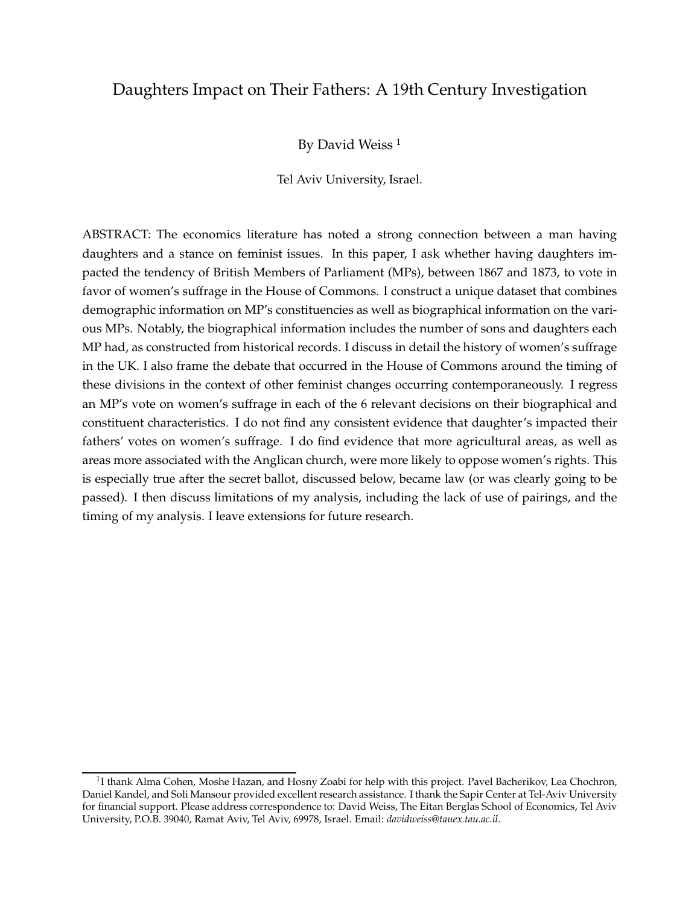# Daughters Impact on Their Fathers: A 19th Century Investigation

By David Weiss<sup>[1](#page-1-0)</sup>

Tel Aviv University, Israel.

ABSTRACT: The economics literature has noted a strong connection between a man having daughters and a stance on feminist issues. In this paper, I ask whether having daughters impacted the tendency of British Members of Parliament (MPs), between 1867 and 1873, to vote in favor of women's suffrage in the House of Commons. I construct a unique dataset that combines demographic information on MP's constituencies as well as biographical information on the various MPs. Notably, the biographical information includes the number of sons and daughters each MP had, as constructed from historical records. I discuss in detail the history of women's suffrage in the UK. I also frame the debate that occurred in the House of Commons around the timing of these divisions in the context of other feminist changes occurring contemporaneously. I regress an MP's vote on women's suffrage in each of the 6 relevant decisions on their biographical and constituent characteristics. I do not find any consistent evidence that daughter's impacted their fathers' votes on women's suffrage. I do find evidence that more agricultural areas, as well as areas more associated with the Anglican church, were more likely to oppose women's rights. This is especially true after the secret ballot, discussed below, became law (or was clearly going to be passed). I then discuss limitations of my analysis, including the lack of use of pairings, and the timing of my analysis. I leave extensions for future research.

<span id="page-1-0"></span> $^{1}$ I thank Alma Cohen, Moshe Hazan, and Hosny Zoabi for help with this project. Pavel Bacherikov, Lea Chochron, Daniel Kandel, and Soli Mansour provided excellent research assistance. I thank the Sapir Center at Tel-Aviv University for financial support. Please address correspondence to: David Weiss, The Eitan Berglas School of Economics, Tel Aviv University, P.O.B. 39040, Ramat Aviv, Tel Aviv, 69978, Israel. Email: *davidweiss@tauex.tau.ac.il*.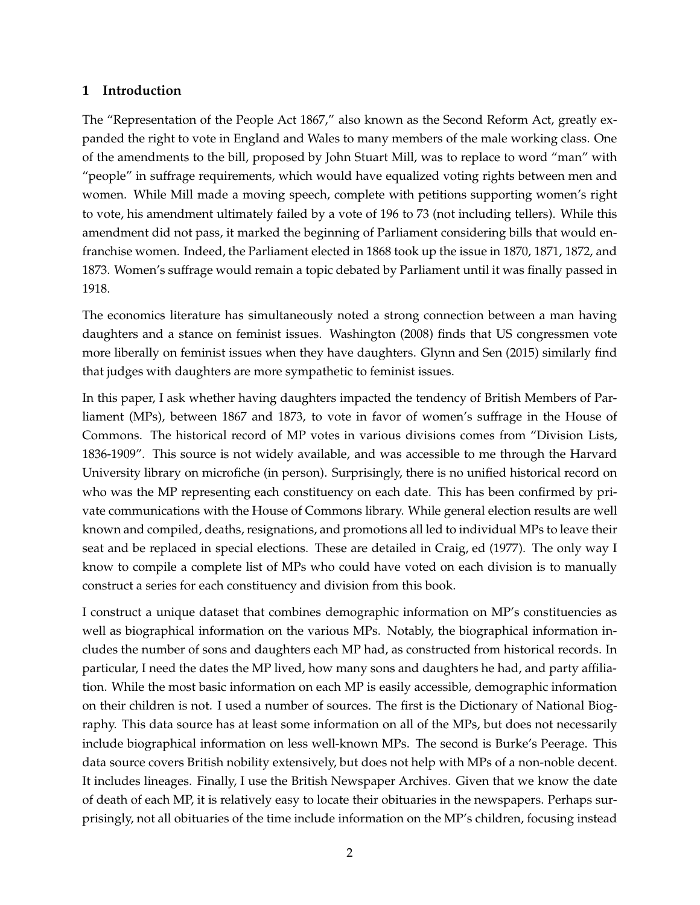#### **1 Introduction**

The "Representation of the People Act 1867," also known as the Second Reform Act, greatly expanded the right to vote in England and Wales to many members of the male working class. One of the amendments to the bill, proposed by John Stuart Mill, was to replace to word "man" with "people" in suffrage requirements, which would have equalized voting rights between men and women. While Mill made a moving speech, complete with petitions supporting women's right to vote, his amendment ultimately failed by a vote of 196 to 73 (not including tellers). While this amendment did not pass, it marked the beginning of Parliament considering bills that would enfranchise women. Indeed, the Parliament elected in 1868 took up the issue in 1870, 1871, 1872, and 1873. Women's suffrage would remain a topic debated by Parliament until it was finally passed in 1918.

The economics literature has simultaneously noted a strong connection between a man having daughters and a stance on feminist issues. [Washington](#page-11-0) [\(2008](#page-11-0)) finds that US congressmen vote more liberally on feminist issues when they have daughters. [Glynn and Sen \(2015\)](#page-11-1) similarly find that judges with daughters are more sympathetic to feminist issues.

In this paper, I ask whether having daughters impacted the tendency of British Members of Parliament (MPs), between 1867 and 1873, to vote in favor of women's suffrage in the House of Commons. The historical record of MP votes in various divisions comes from "Division Lists, 1836-1909". This source is not widely available, and was accessible to me through the Harvard University library on microfiche (in person). Surprisingly, there is no unified historical record on who was the MP representing each constituency on each date. This has been confirmed by private communications with the House of Commons library. While general election results are well known and compiled, deaths, resignations, and promotions all led to individual MPs to leave their seat and be replaced in special elections. These are detailed in [Craig, ed \(1977](#page-11-2)). The only way I know to compile a complete list of MPs who could have voted on each division is to manually construct a series for each constituency and division from this book.

I construct a unique dataset that combines demographic information on MP's constituencies as well as biographical information on the various MPs. Notably, the biographical information includes the number of sons and daughters each MP had, as constructed from historical records. In particular, I need the dates the MP lived, how many sons and daughters he had, and party affiliation. While the most basic information on each MP is easily accessible, demographic information on their children is not. I used a number of sources. The first is the Dictionary of National Biography. This data source has at least some information on all of the MPs, but does not necessarily include biographical information on less well-known MPs. The second is Burke's Peerage. This data source covers British nobility extensively, but does not help with MPs of a non-noble decent. It includes lineages. Finally, I use the British Newspaper Archives. Given that we know the date of death of each MP, it is relatively easy to locate their obituaries in the newspapers. Perhaps surprisingly, not all obituaries of the time include information on the MP's children, focusing instead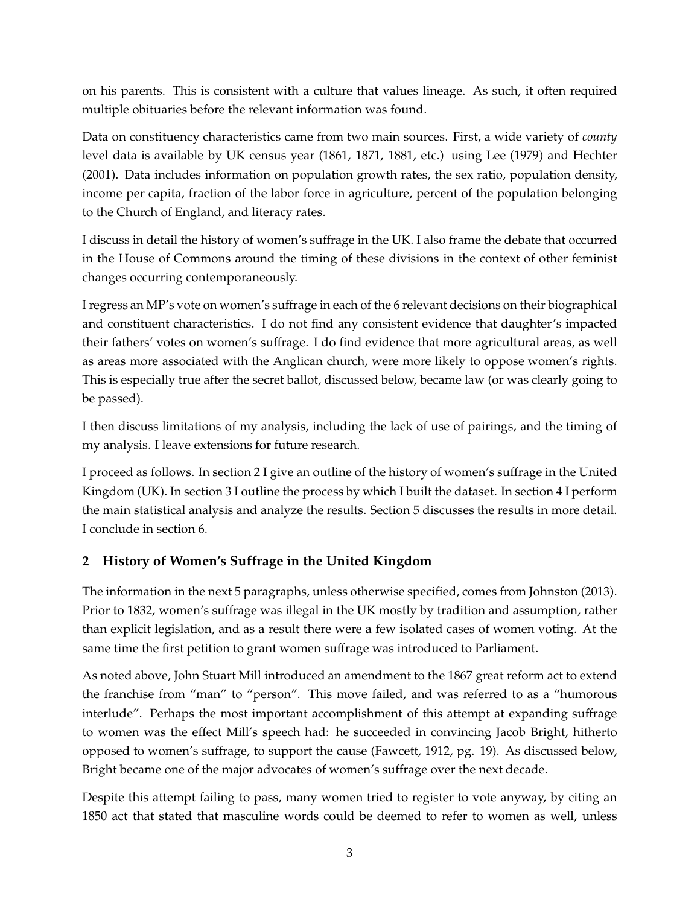on his parents. This is consistent with a culture that values lineage. As such, it often required multiple obituaries before the relevant information was found.

Data on constituency characteristics came from two main sources. First, a wide variety of *county* level data is available by UK census year (1861, 1871, 1881, etc.) using [Lee \(1979](#page-11-3)) and [Hechter](#page-11-4) [\(2001](#page-11-4)). Data includes information on population growth rates, the sex ratio, population density, income per capita, fraction of the labor force in agriculture, percent of the population belonging to the Church of England, and literacy rates.

I discuss in detail the history of women's suffrage in the UK. I also frame the debate that occurred in the House of Commons around the timing of these divisions in the context of other feminist changes occurring contemporaneously.

I regress an MP's vote on women's suffrage in each of the 6 relevant decisions on their biographical and constituent characteristics. I do not find any consistent evidence that daughter's impacted their fathers' votes on women's suffrage. I do find evidence that more agricultural areas, as well as areas more associated with the Anglican church, were more likely to oppose women's rights. This is especially true after the secret ballot, discussed below, became law (or was clearly going to be passed).

I then discuss limitations of my analysis, including the lack of use of pairings, and the timing of my analysis. I leave extensions for future research.

I proceed as follows. In section [2](#page-3-0) I give an outline of the history of women's suffrage in the United Kingdom (UK). In section [3](#page-7-0) I outline the process by which I built the dataset. In section [4](#page-7-1) I perform the main statistical analysis and analyze the results. Section [5](#page-9-0) discusses the results in more detail. I conclude in section [6.](#page-10-0)

## <span id="page-3-0"></span>**2 History of Women's Suffrage in the United Kingdom**

The information in the next 5 paragraphs, unless otherwise specified, comes from [Johnston](#page-11-5) [\(2013](#page-11-5)). Prior to 1832, women's suffrage was illegal in the UK mostly by tradition and assumption, rather than explicit legislation, and as a result there were a few isolated cases of women voting. At the same time the first petition to grant women suffrage was introduced to Parliament.

As noted above, John Stuart Mill introduced an amendment to the 1867 great reform act to extend the franchise from "man" to "person". This move failed, and was referred to as a "humorous interlude". Perhaps the most important accomplishment of this attempt at expanding suffrage to women was the effect Mill's speech had: he succeeded in convincing Jacob Bright, hitherto opposed to women's suffrage, to support the cause [\(Fawcett,](#page-11-6) [1912](#page-11-6), pg. 19). As discussed below, Bright became one of the major advocates of women's suffrage over the next decade.

Despite this attempt failing to pass, many women tried to register to vote anyway, by citing an 1850 act that stated that masculine words could be deemed to refer to women as well, unless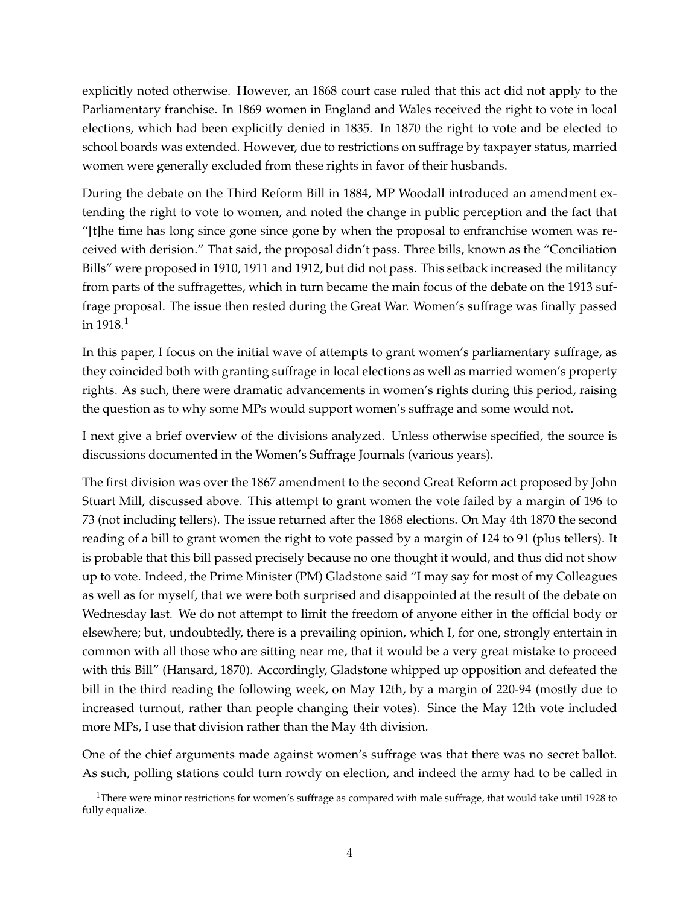explicitly noted otherwise. However, an 1868 court case ruled that this act did not apply to the Parliamentary franchise. In 1869 women in England and Wales received the right to vote in local elections, which had been explicitly denied in 1835. In 1870 the right to vote and be elected to school boards was extended. However, due to restrictions on suffrage by taxpayer status, married women were generally excluded from these rights in favor of their husbands.

During the debate on the Third Reform Bill in 1884, MP Woodall introduced an amendment extending the right to vote to women, and noted the change in public perception and the fact that "[t]he time has long since gone since gone by when the proposal to enfranchise women was received with derision." That said, the proposal didn't pass. Three bills, known as the "Conciliation Bills" were proposed in 1910, 1911 and 1912, but did not pass. This setback increased the militancy from parts of the suffragettes, which in turn became the main focus of the debate on the 1913 suffrage proposal. The issue then rested during the Great War. Women's suffrage was finally passed in  $1918.1$  $1918.1$ 

In this paper, I focus on the initial wave of attempts to grant women's parliamentary suffrage, as they coincided both with granting suffrage in local elections as well as married women's property rights. As such, there were dramatic advancements in women's rights during this period, raising the question as to why some MPs would support women's suffrage and some would not.

I next give a brief overview of the divisions analyzed. Unless otherwise specified, the source is discussions documented in the Women's Suffrage Journals (various years).

The first division was over the 1867 amendment to the second Great Reform act proposed by John Stuart Mill, discussed above. This attempt to grant women the vote failed by a margin of 196 to 73 (not including tellers). The issue returned after the 1868 elections. On May 4th 1870 the second reading of a bill to grant women the right to vote passed by a margin of 124 to 91 (plus tellers). It is probable that this bill passed precisely because no one thought it would, and thus did not show up to vote. Indeed, the Prime Minister (PM) Gladstone said "I may say for most of my Colleagues as well as for myself, that we were both surprised and disappointed at the result of the debate on Wednesday last. We do not attempt to limit the freedom of anyone either in the official body or elsewhere; but, undoubtedly, there is a prevailing opinion, which I, for one, strongly entertain in common with all those who are sitting near me, that it would be a very great mistake to proceed with this Bill" [\(Hansard, 1870](#page-11-7)). Accordingly, Gladstone whipped up opposition and defeated the bill in the third reading the following week, on May 12th, by a margin of 220-94 (mostly due to increased turnout, rather than people changing their votes). Since the May 12th vote included more MPs, I use that division rather than the May 4th division.

One of the chief arguments made against women's suffrage was that there was no secret ballot. As such, polling stations could turn rowdy on election, and indeed the army had to be called in

<span id="page-4-0"></span><sup>&</sup>lt;sup>1</sup>There were minor restrictions for women's suffrage as compared with male suffrage, that would take until 1928 to fully equalize.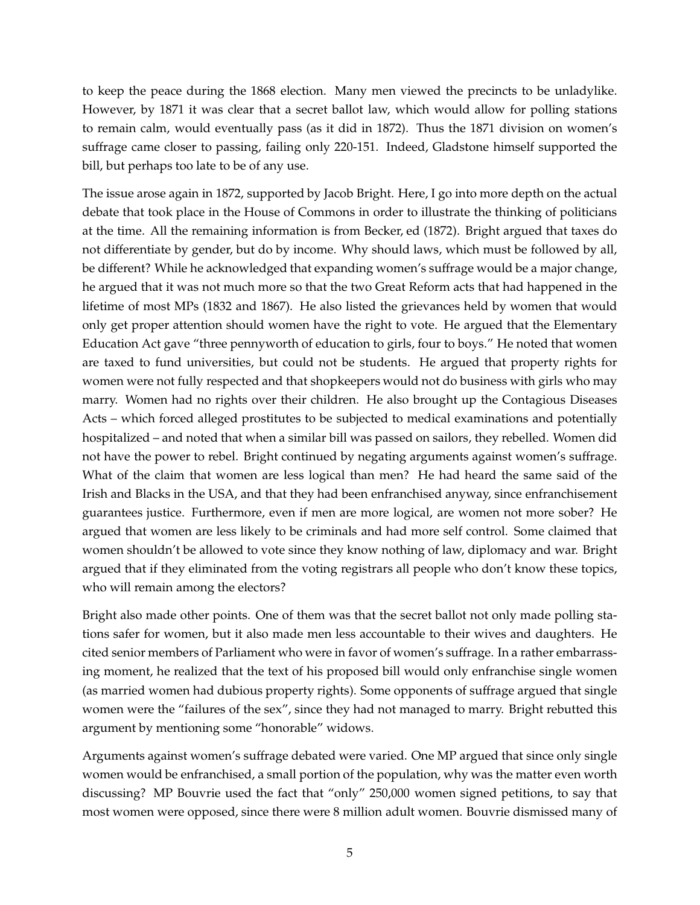to keep the peace during the 1868 election. Many men viewed the precincts to be unladylike. However, by 1871 it was clear that a secret ballot law, which would allow for polling stations to remain calm, would eventually pass (as it did in 1872). Thus the 1871 division on women's suffrage came closer to passing, failing only 220-151. Indeed, Gladstone himself supported the bill, but perhaps too late to be of any use.

The issue arose again in 1872, supported by Jacob Bright. Here, I go into more depth on the actual debate that took place in the House of Commons in order to illustrate the thinking of politicians at the time. All the remaining information is from [Becker, ed](#page-11-8) [\(1872](#page-11-8)). Bright argued that taxes do not differentiate by gender, but do by income. Why should laws, which must be followed by all, be different? While he acknowledged that expanding women's suffrage would be a major change, he argued that it was not much more so that the two Great Reform acts that had happened in the lifetime of most MPs (1832 and 1867). He also listed the grievances held by women that would only get proper attention should women have the right to vote. He argued that the Elementary Education Act gave "three pennyworth of education to girls, four to boys." He noted that women are taxed to fund universities, but could not be students. He argued that property rights for women were not fully respected and that shopkeepers would not do business with girls who may marry. Women had no rights over their children. He also brought up the Contagious Diseases Acts – which forced alleged prostitutes to be subjected to medical examinations and potentially hospitalized – and noted that when a similar bill was passed on sailors, they rebelled. Women did not have the power to rebel. Bright continued by negating arguments against women's suffrage. What of the claim that women are less logical than men? He had heard the same said of the Irish and Blacks in the USA, and that they had been enfranchised anyway, since enfranchisement guarantees justice. Furthermore, even if men are more logical, are women not more sober? He argued that women are less likely to be criminals and had more self control. Some claimed that women shouldn't be allowed to vote since they know nothing of law, diplomacy and war. Bright argued that if they eliminated from the voting registrars all people who don't know these topics, who will remain among the electors?

Bright also made other points. One of them was that the secret ballot not only made polling stations safer for women, but it also made men less accountable to their wives and daughters. He cited senior members of Parliament who were in favor of women's suffrage. In a rather embarrassing moment, he realized that the text of his proposed bill would only enfranchise single women (as married women had dubious property rights). Some opponents of suffrage argued that single women were the "failures of the sex", since they had not managed to marry. Bright rebutted this argument by mentioning some "honorable" widows.

Arguments against women's suffrage debated were varied. One MP argued that since only single women would be enfranchised, a small portion of the population, why was the matter even worth discussing? MP Bouvrie used the fact that "only" 250,000 women signed petitions, to say that most women were opposed, since there were 8 million adult women. Bouvrie dismissed many of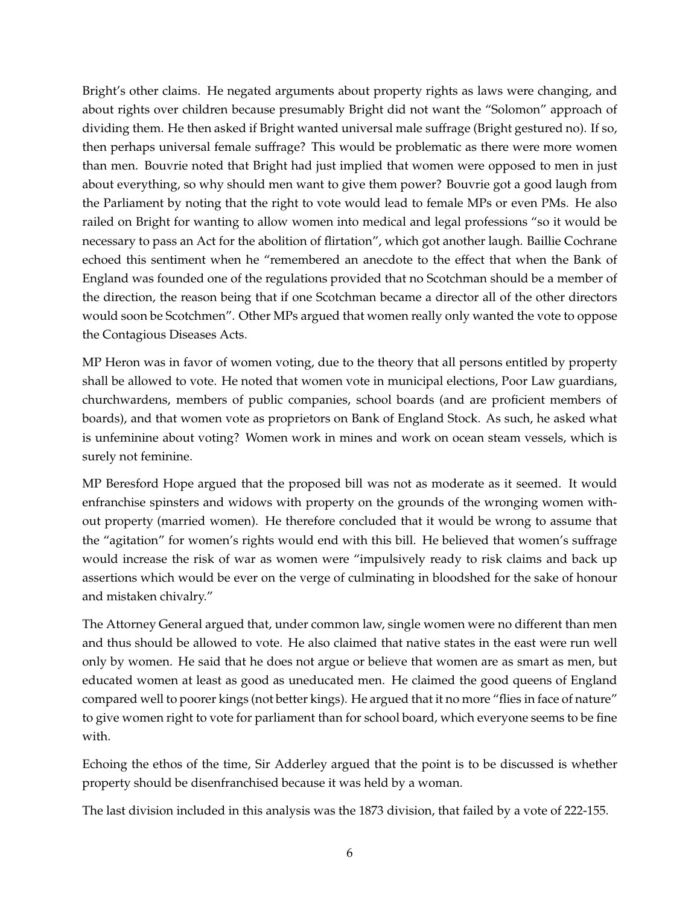Bright's other claims. He negated arguments about property rights as laws were changing, and about rights over children because presumably Bright did not want the "Solomon" approach of dividing them. He then asked if Bright wanted universal male suffrage (Bright gestured no). If so, then perhaps universal female suffrage? This would be problematic as there were more women than men. Bouvrie noted that Bright had just implied that women were opposed to men in just about everything, so why should men want to give them power? Bouvrie got a good laugh from the Parliament by noting that the right to vote would lead to female MPs or even PMs. He also railed on Bright for wanting to allow women into medical and legal professions "so it would be necessary to pass an Act for the abolition of flirtation", which got another laugh. Baillie Cochrane echoed this sentiment when he "remembered an anecdote to the effect that when the Bank of England was founded one of the regulations provided that no Scotchman should be a member of the direction, the reason being that if one Scotchman became a director all of the other directors would soon be Scotchmen". Other MPs argued that women really only wanted the vote to oppose the Contagious Diseases Acts.

MP Heron was in favor of women voting, due to the theory that all persons entitled by property shall be allowed to vote. He noted that women vote in municipal elections, Poor Law guardians, churchwardens, members of public companies, school boards (and are proficient members of boards), and that women vote as proprietors on Bank of England Stock. As such, he asked what is unfeminine about voting? Women work in mines and work on ocean steam vessels, which is surely not feminine.

MP Beresford Hope argued that the proposed bill was not as moderate as it seemed. It would enfranchise spinsters and widows with property on the grounds of the wronging women without property (married women). He therefore concluded that it would be wrong to assume that the "agitation" for women's rights would end with this bill. He believed that women's suffrage would increase the risk of war as women were "impulsively ready to risk claims and back up assertions which would be ever on the verge of culminating in bloodshed for the sake of honour and mistaken chivalry."

The Attorney General argued that, under common law, single women were no different than men and thus should be allowed to vote. He also claimed that native states in the east were run well only by women. He said that he does not argue or believe that women are as smart as men, but educated women at least as good as uneducated men. He claimed the good queens of England compared well to poorer kings (not better kings). He argued that it no more "flies in face of nature" to give women right to vote for parliament than for school board, which everyone seems to be fine with.

Echoing the ethos of the time, Sir Adderley argued that the point is to be discussed is whether property should be disenfranchised because it was held by a woman.

The last division included in this analysis was the 1873 division, that failed by a vote of 222-155.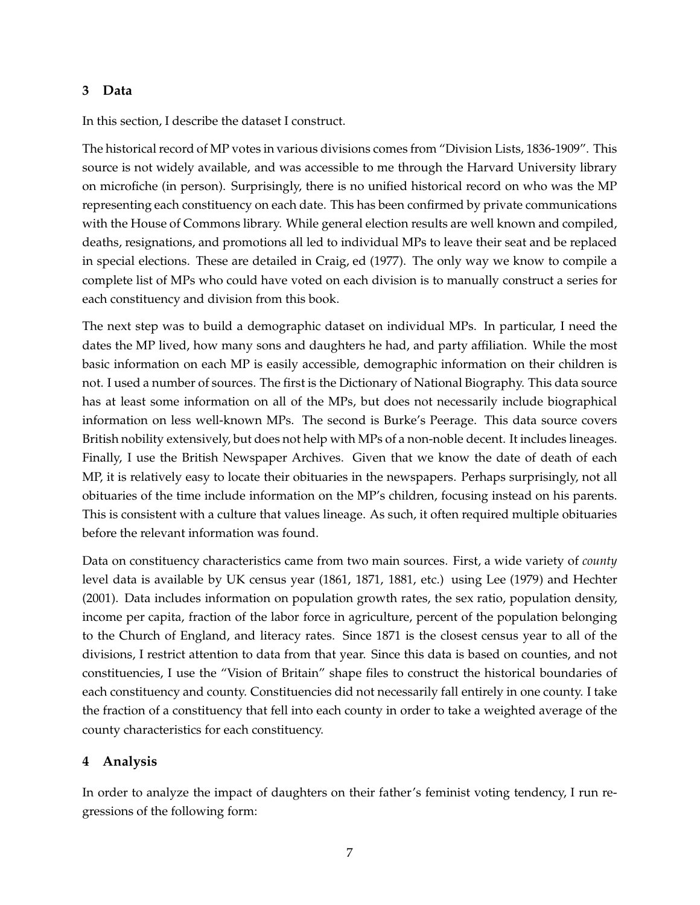#### <span id="page-7-0"></span>**3 Data**

In this section, I describe the dataset I construct.

The historical record of MP votes in various divisions comes from "Division Lists, 1836-1909". This source is not widely available, and was accessible to me through the Harvard University library on microfiche (in person). Surprisingly, there is no unified historical record on who was the MP representing each constituency on each date. This has been confirmed by private communications with the House of Commons library. While general election results are well known and compiled, deaths, resignations, and promotions all led to individual MPs to leave their seat and be replaced in special elections. These are detailed in [Craig, ed \(1977](#page-11-2)). The only way we know to compile a complete list of MPs who could have voted on each division is to manually construct a series for each constituency and division from this book.

The next step was to build a demographic dataset on individual MPs. In particular, I need the dates the MP lived, how many sons and daughters he had, and party affiliation. While the most basic information on each MP is easily accessible, demographic information on their children is not. I used a number of sources. The first is the Dictionary of National Biography. This data source has at least some information on all of the MPs, but does not necessarily include biographical information on less well-known MPs. The second is Burke's Peerage. This data source covers British nobility extensively, but does not help with MPs of a non-noble decent. It includes lineages. Finally, I use the British Newspaper Archives. Given that we know the date of death of each MP, it is relatively easy to locate their obituaries in the newspapers. Perhaps surprisingly, not all obituaries of the time include information on the MP's children, focusing instead on his parents. This is consistent with a culture that values lineage. As such, it often required multiple obituaries before the relevant information was found.

Data on constituency characteristics came from two main sources. First, a wide variety of *county* level data is available by UK census year (1861, 1871, 1881, etc.) using [Lee \(1979](#page-11-3)) and [Hechter](#page-11-4) [\(2001](#page-11-4)). Data includes information on population growth rates, the sex ratio, population density, income per capita, fraction of the labor force in agriculture, percent of the population belonging to the Church of England, and literacy rates. Since 1871 is the closest census year to all of the divisions, I restrict attention to data from that year. Since this data is based on counties, and not constituencies, I use the "Vision of Britain" shape files to construct the historical boundaries of each constituency and county. Constituencies did not necessarily fall entirely in one county. I take the fraction of a constituency that fell into each county in order to take a weighted average of the county characteristics for each constituency.

## <span id="page-7-1"></span>**4 Analysis**

In order to analyze the impact of daughters on their father's feminist voting tendency, I run regressions of the following form: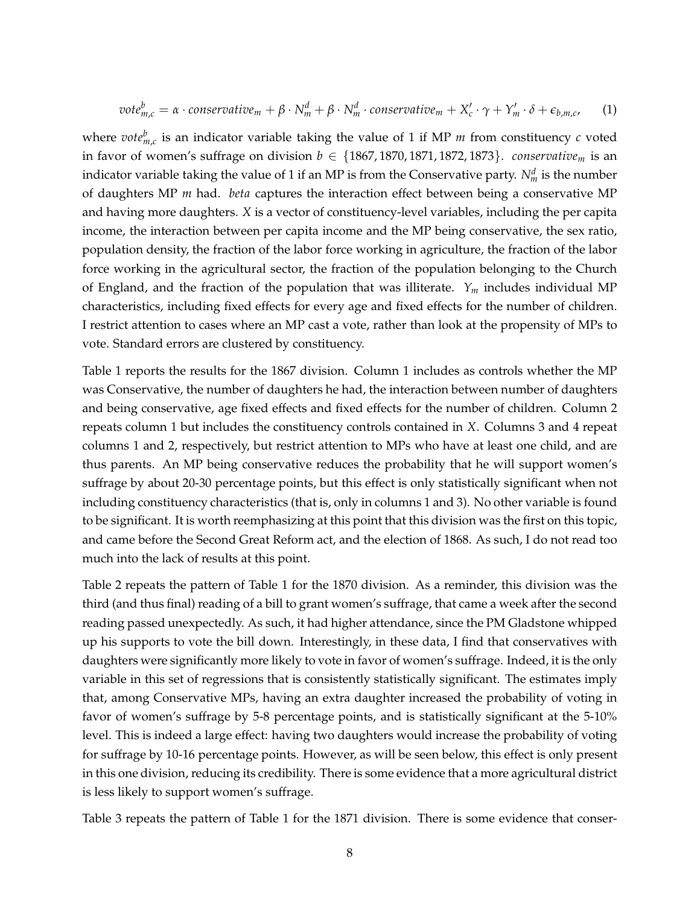$$
vote_{m,c}^b = \alpha \cdot conservative_m + \beta \cdot N_m^d + \beta \cdot N_m^d \cdot conservative_m + X_c' \cdot \gamma + Y_m' \cdot \delta + \epsilon_{b,m,c}, \quad (1)
$$

where  $\mathit{vote}_{m,c}^b$  is an indicator variable taking the value of 1 if MP  $m$  from constituency  $c$  voted in favor of women's suffrage on division  $b \in \{1867, 1870, 1871, 1872, 1873\}$ . *conservative<sub>m</sub>* is an indicator variable taking the value of 1 if an MP is from the Conservative party.  $N_m^d$  is the number of daughters MP *m* had. *beta* captures the interaction effect between being a conservative MP and having more daughters. *X* is a vector of constituency-level variables, including the per capita income, the interaction between per capita income and the MP being conservative, the sex ratio, population density, the fraction of the labor force working in agriculture, the fraction of the labor force working in the agricultural sector, the fraction of the population belonging to the Church of England, and the fraction of the population that was illiterate. *Y<sup>m</sup>* includes individual MP characteristics, including fixed effects for every age and fixed effects for the number of children. I restrict attention to cases where an MP cast a vote, rather than look at the propensity of MPs to vote. Standard errors are clustered by constituency.

Table [1](#page-12-0) reports the results for the 1867 division. Column 1 includes as controls whether the MP was Conservative, the number of daughters he had, the interaction between number of daughters and being conservative, age fixed effects and fixed effects for the number of children. Column 2 repeats column 1 but includes the constituency controls contained in *X*. Columns 3 and 4 repeat columns 1 and 2, respectively, but restrict attention to MPs who have at least one child, and are thus parents. An MP being conservative reduces the probability that he will support women's suffrage by about 20-30 percentage points, but this effect is only statistically significant when not including constituency characteristics (that is, only in columns 1 and 3). No other variable is found to be significant. It is worth reemphasizing at this point that this division was the first on this topic, and came before the Second Great Reform act, and the election of 1868. As such, I do not read too much into the lack of results at this point.

Table [2](#page-13-0) repeats the pattern of Table [1](#page-12-0) for the 1870 division. As a reminder, this division was the third (and thus final) reading of a bill to grant women's suffrage, that came a week after the second reading passed unexpectedly. As such, it had higher attendance, since the PM Gladstone whipped up his supports to vote the bill down. Interestingly, in these data, I find that conservatives with daughters were significantly more likely to vote in favor of women's suffrage. Indeed, it is the only variable in this set of regressions that is consistently statistically significant. The estimates imply that, among Conservative MPs, having an extra daughter increased the probability of voting in favor of women's suffrage by 5-8 percentage points, and is statistically significant at the 5-10% level. This is indeed a large effect: having two daughters would increase the probability of voting for suffrage by 10-16 percentage points. However, as will be seen below, this effect is only present in this one division, reducing its credibility. There is some evidence that a more agricultural district is less likely to support women's suffrage.

Table [3](#page-14-0) repeats the pattern of Table [1](#page-12-0) for the 1871 division. There is some evidence that conser-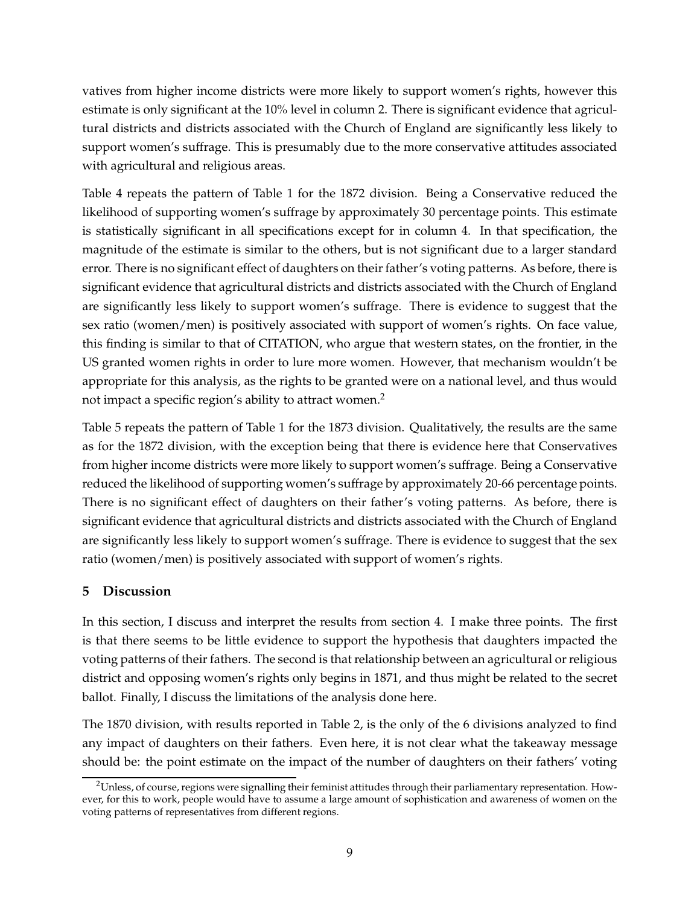vatives from higher income districts were more likely to support women's rights, however this estimate is only significant at the 10% level in column 2. There is significant evidence that agricultural districts and districts associated with the Church of England are significantly less likely to support women's suffrage. This is presumably due to the more conservative attitudes associated with agricultural and religious areas.

Table [4](#page-15-0) repeats the pattern of Table [1](#page-12-0) for the 1872 division. Being a Conservative reduced the likelihood of supporting women's suffrage by approximately 30 percentage points. This estimate is statistically significant in all specifications except for in column 4. In that specification, the magnitude of the estimate is similar to the others, but is not significant due to a larger standard error. There is no significant effect of daughters on their father's voting patterns. As before, there is significant evidence that agricultural districts and districts associated with the Church of England are significantly less likely to support women's suffrage. There is evidence to suggest that the sex ratio (women/men) is positively associated with support of women's rights. On face value, this finding is similar to that of CITATION, who argue that western states, on the frontier, in the US granted women rights in order to lure more women. However, that mechanism wouldn't be appropriate for this analysis, as the rights to be granted were on a national level, and thus would not impact a specific region's ability to attract women.<sup>[2](#page-9-1)</sup>

Table [5](#page-16-0) repeats the pattern of Table [1](#page-12-0) for the 1873 division. Qualitatively, the results are the same as for the 1872 division, with the exception being that there is evidence here that Conservatives from higher income districts were more likely to support women's suffrage. Being a Conservative reduced the likelihood of supporting women's suffrage by approximately 20-66 percentage points. There is no significant effect of daughters on their father's voting patterns. As before, there is significant evidence that agricultural districts and districts associated with the Church of England are significantly less likely to support women's suffrage. There is evidence to suggest that the sex ratio (women/men) is positively associated with support of women's rights.

## <span id="page-9-0"></span>**5 Discussion**

In this section, I discuss and interpret the results from section [4.](#page-7-1) I make three points. The first is that there seems to be little evidence to support the hypothesis that daughters impacted the voting patterns of their fathers. The second is that relationship between an agricultural or religious district and opposing women's rights only begins in 1871, and thus might be related to the secret ballot. Finally, I discuss the limitations of the analysis done here.

The 1870 division, with results reported in Table [2,](#page-13-0) is the only of the 6 divisions analyzed to find any impact of daughters on their fathers. Even here, it is not clear what the takeaway message should be: the point estimate on the impact of the number of daughters on their fathers' voting

<span id="page-9-1"></span><sup>&</sup>lt;sup>2</sup>Unless, of course, regions were signalling their feminist attitudes through their parliamentary representation. However, for this to work, people would have to assume a large amount of sophistication and awareness of women on the voting patterns of representatives from different regions.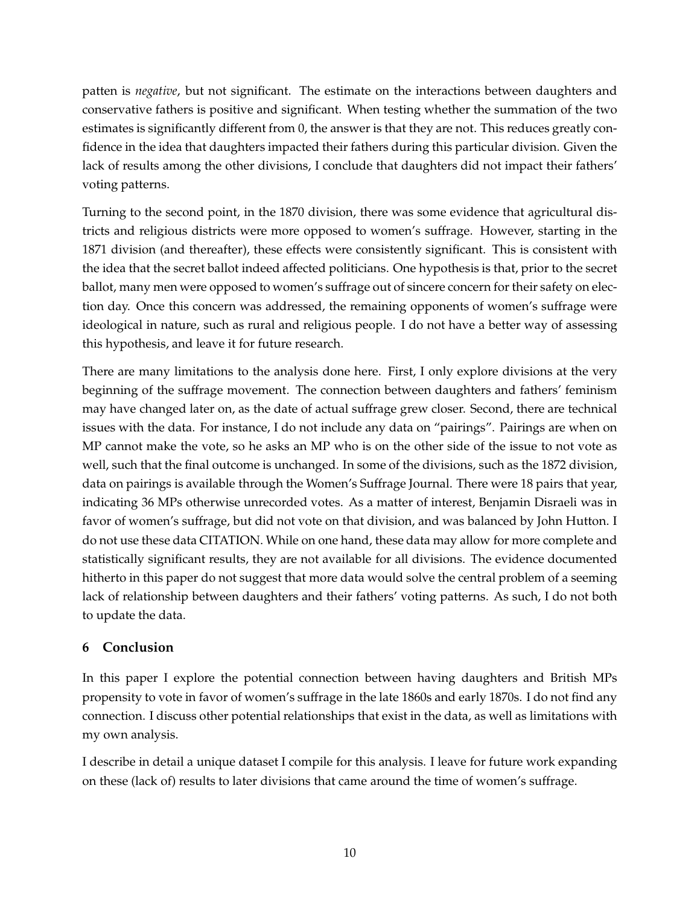patten is *negative*, but not significant. The estimate on the interactions between daughters and conservative fathers is positive and significant. When testing whether the summation of the two estimates is significantly different from 0, the answer is that they are not. This reduces greatly confidence in the idea that daughters impacted their fathers during this particular division. Given the lack of results among the other divisions, I conclude that daughters did not impact their fathers' voting patterns.

Turning to the second point, in the 1870 division, there was some evidence that agricultural districts and religious districts were more opposed to women's suffrage. However, starting in the 1871 division (and thereafter), these effects were consistently significant. This is consistent with the idea that the secret ballot indeed affected politicians. One hypothesis is that, prior to the secret ballot, many men were opposed to women's suffrage out of sincere concern for their safety on election day. Once this concern was addressed, the remaining opponents of women's suffrage were ideological in nature, such as rural and religious people. I do not have a better way of assessing this hypothesis, and leave it for future research.

There are many limitations to the analysis done here. First, I only explore divisions at the very beginning of the suffrage movement. The connection between daughters and fathers' feminism may have changed later on, as the date of actual suffrage grew closer. Second, there are technical issues with the data. For instance, I do not include any data on "pairings". Pairings are when on MP cannot make the vote, so he asks an MP who is on the other side of the issue to not vote as well, such that the final outcome is unchanged. In some of the divisions, such as the 1872 division, data on pairings is available through the Women's Suffrage Journal. There were 18 pairs that year, indicating 36 MPs otherwise unrecorded votes. As a matter of interest, Benjamin Disraeli was in favor of women's suffrage, but did not vote on that division, and was balanced by John Hutton. I do not use these data CITATION. While on one hand, these data may allow for more complete and statistically significant results, they are not available for all divisions. The evidence documented hitherto in this paper do not suggest that more data would solve the central problem of a seeming lack of relationship between daughters and their fathers' voting patterns. As such, I do not both to update the data.

## <span id="page-10-0"></span>**6 Conclusion**

In this paper I explore the potential connection between having daughters and British MPs propensity to vote in favor of women's suffrage in the late 1860s and early 1870s. I do not find any connection. I discuss other potential relationships that exist in the data, as well as limitations with my own analysis.

I describe in detail a unique dataset I compile for this analysis. I leave for future work expanding on these (lack of) results to later divisions that came around the time of women's suffrage.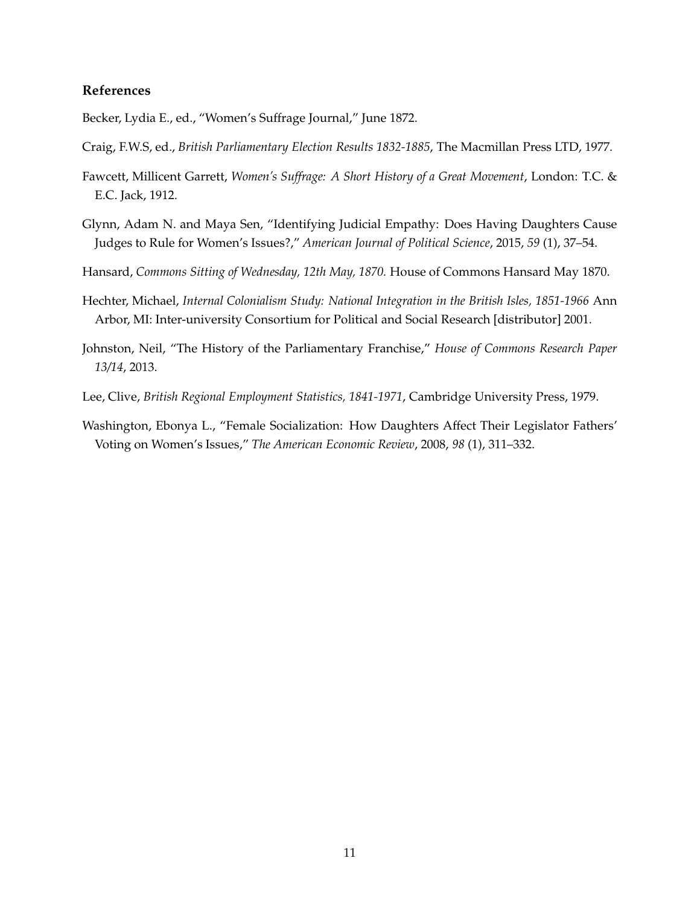#### **References**

<span id="page-11-8"></span>Becker, Lydia E., ed., "Women's Suffrage Journal," June 1872.

- <span id="page-11-2"></span>Craig, F.W.S, ed., *British Parliamentary Election Results 1832-1885*, The Macmillan Press LTD, 1977.
- <span id="page-11-6"></span>Fawcett, Millicent Garrett, *Women's Suffrage: A Short History of a Great Movement*, London: T.C. & E.C. Jack, 1912.
- <span id="page-11-1"></span>Glynn, Adam N. and Maya Sen, "Identifying Judicial Empathy: Does Having Daughters Cause Judges to Rule for Women's Issues?," *American Journal of Political Science*, 2015, *59* (1), 37–54.
- <span id="page-11-7"></span>Hansard, *Commons Sitting of Wednesday, 12th May, 1870.* House of Commons Hansard May 1870.
- <span id="page-11-4"></span>Hechter, Michael, *Internal Colonialism Study: National Integration in the British Isles, 1851-1966* Ann Arbor, MI: Inter-university Consortium for Political and Social Research [distributor] 2001.
- <span id="page-11-5"></span>Johnston, Neil, "The History of the Parliamentary Franchise," *House of Commons Research Paper 13/14*, 2013.
- <span id="page-11-3"></span>Lee, Clive, *British Regional Employment Statistics, 1841-1971*, Cambridge University Press, 1979.
- <span id="page-11-0"></span>Washington, Ebonya L., "Female Socialization: How Daughters Affect Their Legislator Fathers' Voting on Women's Issues," *The American Economic Review*, 2008, *98* (1), 311–332.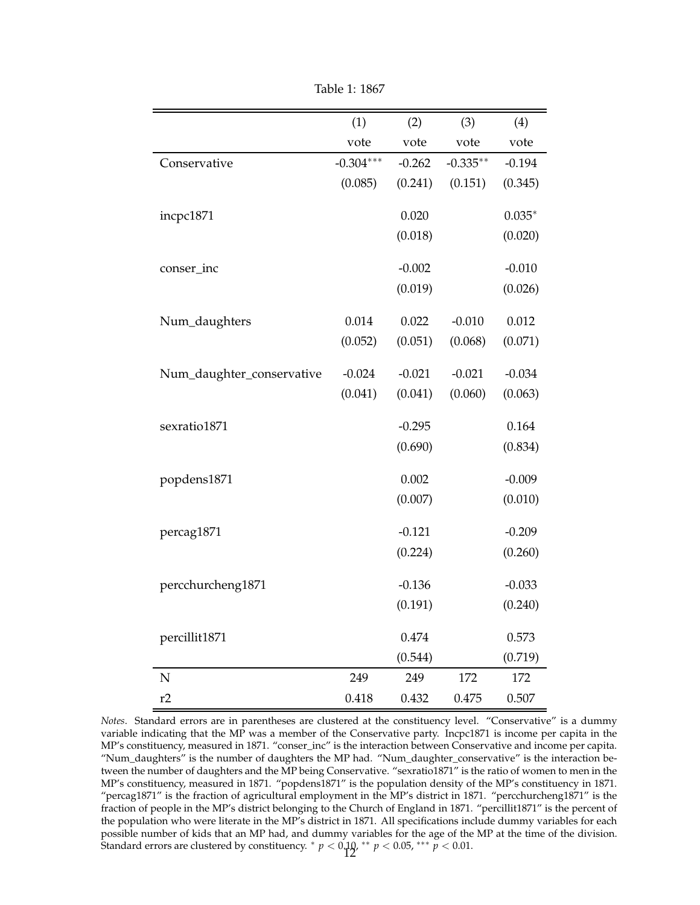<span id="page-12-0"></span>

|                           | (1)         | (2)      | (3)        | (4)      |
|---------------------------|-------------|----------|------------|----------|
|                           | vote        | vote     | vote       | vote     |
| Conservative              | $-0.304***$ | $-0.262$ | $-0.335**$ | $-0.194$ |
|                           | (0.085)     | (0.241)  | (0.151)    | (0.345)  |
|                           |             |          |            |          |
| incpc1871                 |             | 0.020    |            | $0.035*$ |
|                           |             | (0.018)  |            | (0.020)  |
| conser_inc                |             | $-0.002$ |            | $-0.010$ |
|                           |             | (0.019)  |            | (0.026)  |
|                           |             |          |            |          |
| Num_daughters             | 0.014       | 0.022    | $-0.010$   | 0.012    |
|                           | (0.052)     | (0.051)  | (0.068)    | (0.071)  |
|                           |             |          |            |          |
| Num_daughter_conservative | $-0.024$    | $-0.021$ | $-0.021$   | $-0.034$ |
|                           | (0.041)     | (0.041)  | (0.060)    | (0.063)  |
| sexratio1871              |             | $-0.295$ |            | 0.164    |
|                           |             | (0.690)  |            | (0.834)  |
|                           |             |          |            |          |
| popdens1871               |             | 0.002    |            | $-0.009$ |
|                           |             | (0.007)  |            | (0.010)  |
| percag1871                |             | $-0.121$ |            | $-0.209$ |
|                           |             | (0.224)  |            | (0.260)  |
|                           |             |          |            |          |
| percchurcheng1871         |             | $-0.136$ |            | $-0.033$ |
|                           |             | (0.191)  |            | (0.240)  |
|                           |             |          |            |          |
| percillit1871             |             | 0.474    |            | 0.573    |
|                           |             | (0.544)  |            | (0.719)  |
| N                         | 249         | 249      | 172        | 172      |
| r2                        | 0.418       | 0.432    | 0.475      | 0.507    |

Table 1: 1867

*Notes*. Standard errors are in parentheses are clustered at the constituency level. "Conservative" is a dummy variable indicating that the MP was a member of the Conservative party. Incpc1871 is income per capita in the MP's constituency, measured in 1871. "conser\_inc" is the interaction between Conservative and income per capita. "Num\_daughters" is the number of daughters the MP had. "Num\_daughter\_conservative" is the interaction between the number of daughters and the MP being Conservative. "sexratio1871" is the ratio of women to men in the MP's constituency, measured in 1871. "popdens1871" is the population density of the MP's constituency in 1871. "percag1871" is the fraction of agricultural employment in the MP's district in 1871. "percchurcheng1871" is the fraction of people in the MP's district belonging to the Church of England in 1871. "percillit1871" is the percent of the population who were literate in the MP's district in 1871. All specifications include dummy variables for each possible number of kids that an MP had, and dummy variables for the age of the MP at the time of the division. Standard errors are clustered by constituency.  $*$   $p < 0.19$ ,  $**$   $p < 0.05$ ,  $***$   $p < 0.01$ .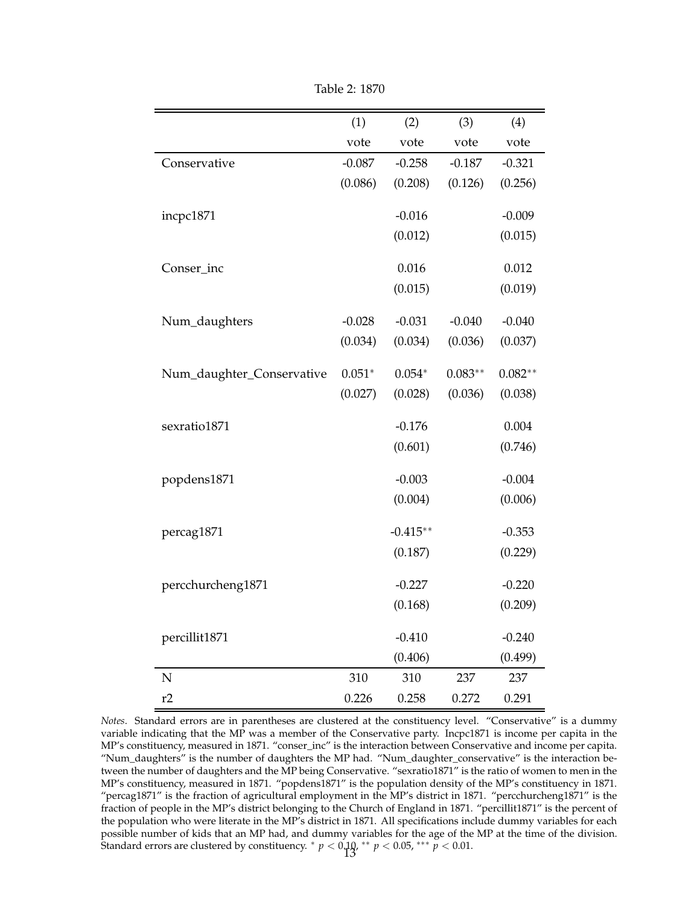<span id="page-13-0"></span>

|                           | (1)      | (2)        | (3)       | (4)       |
|---------------------------|----------|------------|-----------|-----------|
|                           | vote     | vote       | vote      | vote      |
| Conservative              | $-0.087$ | $-0.258$   | $-0.187$  | $-0.321$  |
|                           | (0.086)  | (0.208)    | (0.126)   | (0.256)   |
|                           |          |            |           |           |
| incpc1871                 |          | $-0.016$   |           | $-0.009$  |
|                           |          | (0.012)    |           | (0.015)   |
| Conser_inc                |          | 0.016      |           | 0.012     |
|                           |          | (0.015)    |           | (0.019)   |
|                           |          |            |           |           |
| Num_daughters             | $-0.028$ | $-0.031$   | $-0.040$  | $-0.040$  |
|                           | (0.034)  | (0.034)    | (0.036)   | (0.037)   |
| Num_daughter_Conservative | $0.051*$ | $0.054*$   | $0.083**$ | $0.082**$ |
|                           | (0.027)  |            | (0.036)   | (0.038)   |
|                           |          | (0.028)    |           |           |
| sexratio1871              |          | $-0.176$   |           | 0.004     |
|                           |          | (0.601)    |           | (0.746)   |
|                           |          |            |           |           |
| popdens1871               |          | $-0.003$   |           | $-0.004$  |
|                           |          | (0.004)    |           | (0.006)   |
| percag1871                |          | $-0.415**$ |           | $-0.353$  |
|                           |          | (0.187)    |           | (0.229)   |
|                           |          |            |           |           |
| percchurcheng1871         |          | $-0.227$   |           | $-0.220$  |
|                           |          | (0.168)    |           | (0.209)   |
|                           |          |            |           |           |
| percillit1871             |          | $-0.410$   |           | $-0.240$  |
|                           |          | (0.406)    |           | (0.499)   |
| N                         | 310      | 310        | 237       | 237       |
| r2                        | 0.226    | 0.258      | 0.272     | 0.291     |

Table 2: 1870

*Notes*. Standard errors are in parentheses are clustered at the constituency level. "Conservative" is a dummy variable indicating that the MP was a member of the Conservative party. Incpc1871 is income per capita in the MP's constituency, measured in 1871. "conser\_inc" is the interaction between Conservative and income per capita. "Num\_daughters" is the number of daughters the MP had. "Num\_daughter\_conservative" is the interaction between the number of daughters and the MP being Conservative. "sexratio1871" is the ratio of women to men in the MP's constituency, measured in 1871. "popdens1871" is the population density of the MP's constituency in 1871. "percag1871" is the fraction of agricultural employment in the MP's district in 1871. "percchurcheng1871" is the fraction of people in the MP's district belonging to the Church of England in 1871. "percillit1871" is the percent of the population who were literate in the MP's district in 1871. All specifications include dummy variables for each possible number of kids that an MP had, and dummy variables for the age of the MP at the time of the division. Standard errors are clustered by constituency.  $*$   $p < 0.19$ ,  $**$   $p < 0.05$ ,  $***$   $p < 0.01$ .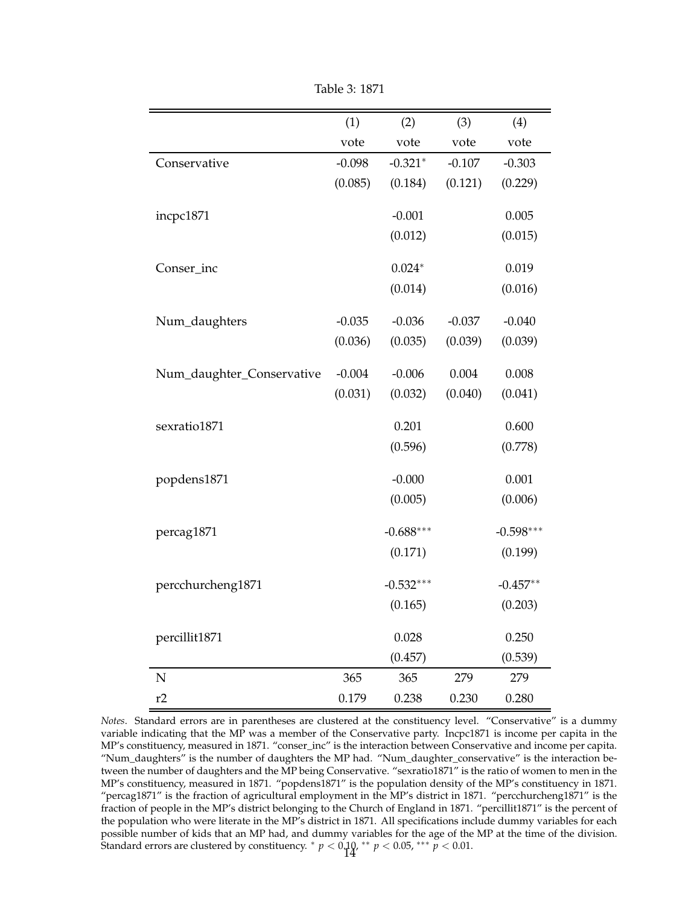<span id="page-14-0"></span>

|                           | (1)      | (2)         | (3)      | (4)         |
|---------------------------|----------|-------------|----------|-------------|
|                           | vote     | vote        | vote     | vote        |
| Conservative              | $-0.098$ | $-0.321*$   | $-0.107$ | $-0.303$    |
|                           | (0.085)  | (0.184)     | (0.121)  | (0.229)     |
|                           |          |             |          |             |
| incpc1871                 |          | $-0.001$    |          | 0.005       |
|                           |          | (0.012)     |          | (0.015)     |
| Conser_inc                |          | $0.024*$    |          | 0.019       |
|                           |          | (0.014)     |          | (0.016)     |
|                           |          |             |          |             |
| Num_daughters             | $-0.035$ | $-0.036$    | $-0.037$ | $-0.040$    |
|                           | (0.036)  | (0.035)     | (0.039)  | (0.039)     |
|                           |          | $-0.006$    | 0.004    | 0.008       |
| Num_daughter_Conservative | $-0.004$ |             |          |             |
|                           | (0.031)  | (0.032)     | (0.040)  | (0.041)     |
| sexratio1871              |          | 0.201       |          | 0.600       |
|                           |          | (0.596)     |          | (0.778)     |
|                           |          |             |          |             |
| popdens1871               |          | $-0.000$    |          | 0.001       |
|                           |          | (0.005)     |          | (0.006)     |
| percag1871                |          | $-0.688***$ |          | $-0.598***$ |
|                           |          | (0.171)     |          | (0.199)     |
|                           |          |             |          |             |
| percchurcheng1871         |          | $-0.532***$ |          | $-0.457**$  |
|                           |          | (0.165)     |          | (0.203)     |
|                           |          |             |          |             |
| percillit1871             |          | 0.028       |          | 0.250       |
|                           |          | (0.457)     |          | (0.539)     |
| N                         | 365      | 365         | 279      | 279         |
| r2                        | 0.179    | 0.238       | 0.230    | 0.280       |

Table 3: 1871

*Notes*. Standard errors are in parentheses are clustered at the constituency level. "Conservative" is a dummy variable indicating that the MP was a member of the Conservative party. Incpc1871 is income per capita in the MP's constituency, measured in 1871. "conser\_inc" is the interaction between Conservative and income per capita. "Num\_daughters" is the number of daughters the MP had. "Num\_daughter\_conservative" is the interaction between the number of daughters and the MP being Conservative. "sexratio1871" is the ratio of women to men in the MP's constituency, measured in 1871. "popdens1871" is the population density of the MP's constituency in 1871. "percag1871" is the fraction of agricultural employment in the MP's district in 1871. "percchurcheng1871" is the fraction of people in the MP's district belonging to the Church of England in 1871. "percillit1871" is the percent of the population who were literate in the MP's district in 1871. All specifications include dummy variables for each possible number of kids that an MP had, and dummy variables for the age of the MP at the time of the division. Standard errors are clustered by constituency.  $^*$   $p < 0.10$ ,  $^{**}$   $p < 0.05$ ,  $^{***}$   $p < 0.01$ .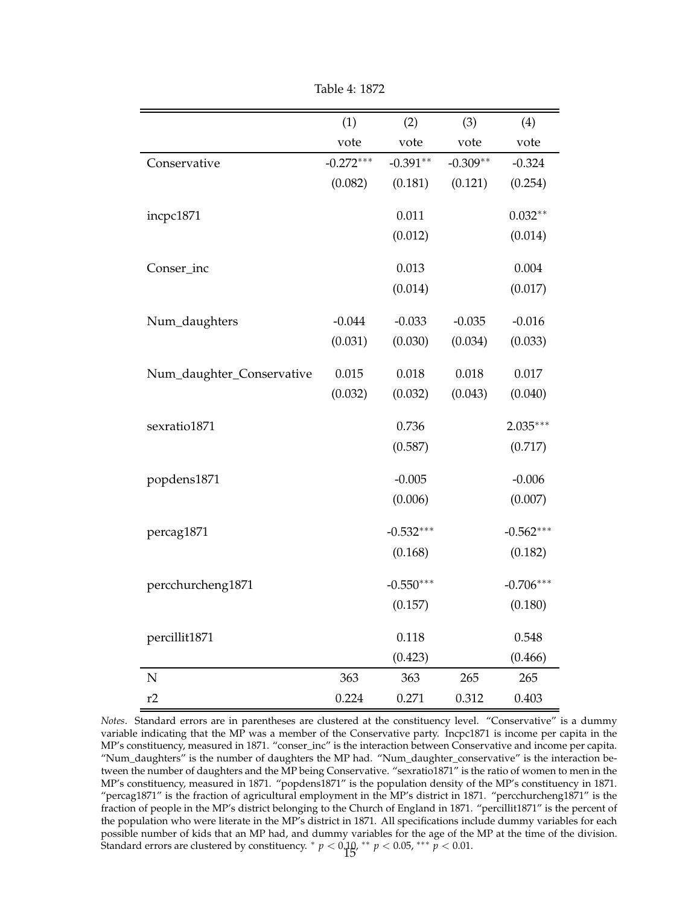<span id="page-15-0"></span>

|                           | (1)         | (2)         | (3)        | (4)         |
|---------------------------|-------------|-------------|------------|-------------|
|                           | vote        | vote        | vote       | vote        |
| Conservative              | $-0.272***$ | $-0.391**$  | $-0.309**$ | $-0.324$    |
|                           | (0.082)     | (0.181)     | (0.121)    | (0.254)     |
|                           |             |             |            |             |
| incpc1871                 |             | 0.011       |            | $0.032**$   |
|                           |             | (0.012)     |            | (0.014)     |
| Conser_inc                |             | 0.013       |            | 0.004       |
|                           |             | (0.014)     |            | (0.017)     |
|                           |             |             |            |             |
| Num_daughters             | $-0.044$    | $-0.033$    | $-0.035$   | $-0.016$    |
|                           | (0.031)     | (0.030)     | (0.034)    | (0.033)     |
|                           |             |             |            |             |
| Num_daughter_Conservative | 0.015       | 0.018       | 0.018      | 0.017       |
|                           | (0.032)     | (0.032)     | (0.043)    | (0.040)     |
| sexratio1871              |             | 0.736       |            | $2.035***$  |
|                           |             | (0.587)     |            | (0.717)     |
|                           |             |             |            |             |
| popdens1871               |             | $-0.005$    |            | $-0.006$    |
|                           |             | (0.006)     |            | (0.007)     |
|                           |             |             |            |             |
| percag1871                |             | $-0.532***$ |            | $-0.562***$ |
|                           |             | (0.168)     |            | (0.182)     |
| percchurcheng1871         |             | $-0.550***$ |            | $-0.706***$ |
|                           |             | (0.157)     |            | (0.180)     |
|                           |             |             |            |             |
| percillit1871             |             | 0.118       |            | 0.548       |
|                           |             | (0.423)     |            | (0.466)     |
| N                         | 363         | 363         | 265        | 265         |
| r2                        | 0.224       | 0.271       | 0.312      | 0.403       |

Table 4: 1872

*Notes*. Standard errors are in parentheses are clustered at the constituency level. "Conservative" is a dummy variable indicating that the MP was a member of the Conservative party. Incpc1871 is income per capita in the MP's constituency, measured in 1871. "conser\_inc" is the interaction between Conservative and income per capita. "Num\_daughters" is the number of daughters the MP had. "Num\_daughter\_conservative" is the interaction between the number of daughters and the MP being Conservative. "sexratio1871" is the ratio of women to men in the MP's constituency, measured in 1871. "popdens1871" is the population density of the MP's constituency in 1871. "percag1871" is the fraction of agricultural employment in the MP's district in 1871. "percchurcheng1871" is the fraction of people in the MP's district belonging to the Church of England in 1871. "percillit1871" is the percent of the population who were literate in the MP's district in 1871. All specifications include dummy variables for each possible number of kids that an MP had, and dummy variables for the age of the MP at the time of the division. Standard errors are clustered by constituency.  $*$   $p < 0.10$ ,  $**$   $p < 0.05$ ,  $***$   $p < 0.01$ .